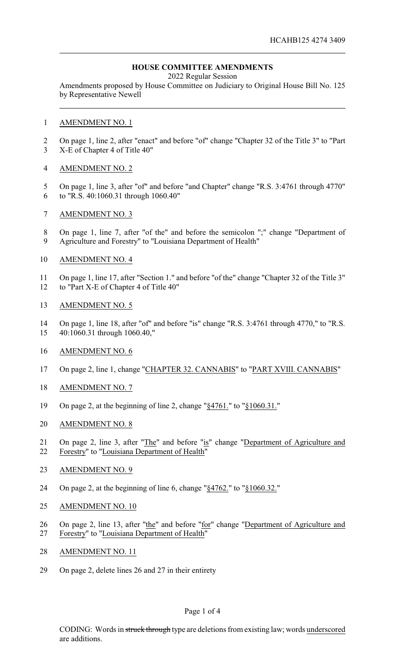# **HOUSE COMMITTEE AMENDMENTS**

2022 Regular Session

Amendments proposed by House Committee on Judiciary to Original House Bill No. 125 by Representative Newell

#### AMENDMENT NO. 1

 On page 1, line 2, after "enact" and before "of" change "Chapter 32 of the Title 3" to "Part X-E of Chapter 4 of Title 40"

### AMENDMENT NO. 2

- On page 1, line 3, after "of" and before "and Chapter" change "R.S. 3:4761 through 4770" to "R.S. 40:1060.31 through 1060.40"
- AMENDMENT NO. 3
- On page 1, line 7, after "of the" and before the semicolon ";" change "Department of Agriculture and Forestry" to "Louisiana Department of Health"
- AMENDMENT NO. 4

On page 1, line 17, after "Section 1." and before "of the" change "Chapter 32 of the Title 3"

12 to "Part X-E of Chapter 4 of Title 40"

### AMENDMENT NO. 5

- On page 1, line 18, after "of" and before "is" change "R.S. 3:4761 through 4770," to "R.S. 40:1060.31 through 1060.40,"
- AMENDMENT NO. 6
- On page 2, line 1, change "CHAPTER 32. CANNABIS" to "PART XVIII. CANNABIS"
- AMENDMENT NO. 7
- On page 2, at the beginning of line 2, change "§4761." to "§1060.31."
- AMENDMENT NO. 8
- On page 2, line 3, after "The" and before "is" change "Department of Agriculture and Forestry" to "Louisiana Department of Health"
- AMENDMENT NO. 9
- On page 2, at the beginning of line 6, change "§4762." to "§1060.32."
- AMENDMENT NO. 10
- 26 On page 2, line 13, after "the" and before "for" change "Department of Agriculture and Forestry" to "Louisiana Department of Health"
- AMENDMENT NO. 11
- On page 2, delete lines 26 and 27 in their entirety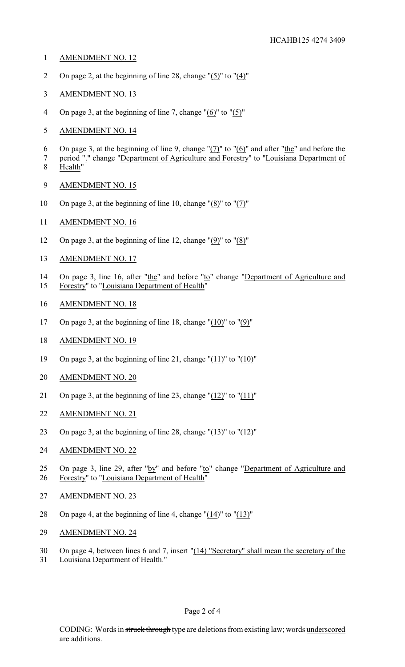- AMENDMENT NO. 12
- On page 2, at the beginning of line 28, change "(5)" to "(4)"
- AMENDMENT NO. 13
- 4 On page 3, at the beginning of line 7, change " $(6)$ " to " $(5)$ "
- AMENDMENT NO. 14
- 6 On page 3, at the beginning of line 9, change " $(7)$ " to " $(6)$ " and after "the" and before the
- 7 period "." change "Department of Agriculture and Forestry" to "Louisiana Department of Health"
- AMENDMENT NO. 15
- On page 3, at the beginning of line 10, change "(8)" to "(7)"
- AMENDMENT NO. 16
- On page 3, at the beginning of line 12, change "(9)" to "(8)"
- AMENDMENT NO. 17
- 14 On page 3, line 16, after "the" and before "to" change "Department of Agriculture and
- Forestry" to "Louisiana Department of Health"
- AMENDMENT NO. 18
- On page 3, at the beginning of line 18, change "(10)" to "(9)"
- AMENDMENT NO. 19
- On page 3, at the beginning of line 21, change "(11)" to "(10)"
- AMENDMENT NO. 20
- On page 3, at the beginning of line 23, change "(12)" to "(11)"
- AMENDMENT NO. 21
- 23 On page 3, at the beginning of line 28, change " $(13)$ " to " $(12)$ "
- AMENDMENT NO. 22
- 25 On page 3, line 29, after "by" and before "to" change "Department of Agriculture and Forestry" to "Louisiana Department of Health"
- AMENDMENT NO. 23
- On page 4, at the beginning of line 4, change "(14)" to "(13)"
- AMENDMENT NO. 24
- On page 4, between lines 6 and 7, insert "(14) "Secretary" shall mean the secretary of the
- Louisiana Department of Health."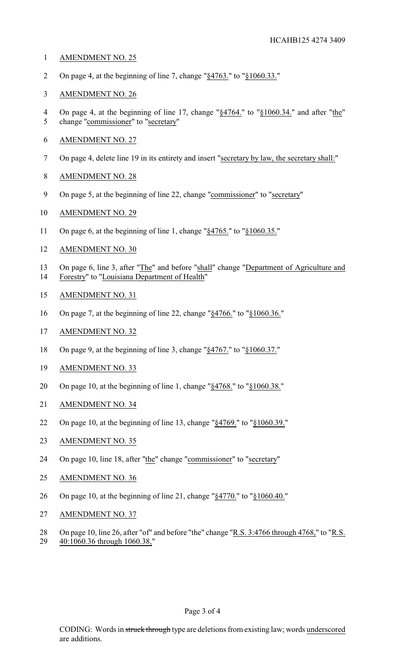- AMENDMENT NO. 25
- On page 4, at the beginning of line 7, change "§4763." to "§1060.33."
- AMENDMENT NO. 26
- 4 On page 4, at the beginning of line 17, change "§4764." to "§1060.34." and after "the" change "commissioner" to "secretary"
- AMENDMENT NO. 27
- 7 On page 4, delete line 19 in its entirety and insert "secretary by law, the secretary shall:"
- AMENDMENT NO. 28
- On page 5, at the beginning of line 22, change "commissioner" to "secretary"
- AMENDMENT NO. 29
- On page 6, at the beginning of line 1, change "§4765." to "§1060.35."
- AMENDMENT NO. 30
- 13 On page 6, line 3, after "The" and before "shall" change "Department of Agriculture and<br>14 Forestry" to "Louisiana Department of Health" Forestry" to "Louisiana Department of Health"
- AMENDMENT NO. 31
- On page 7, at the beginning of line 22, change "§4766." to "§1060.36."
- AMENDMENT NO. 32
- On page 9, at the beginning of line 3, change "§4767." to "§1060.37."
- AMENDMENT NO. 33
- On page 10, at the beginning of line 1, change "§4768." to "§1060.38."
- AMENDMENT NO. 34
- On page 10, at the beginning of line 13, change "§4769." to "§1060.39."
- 23 AMENDMENT NO. 35
- On page 10, line 18, after "the" change "commissioner" to "secretary"
- AMENDMENT NO. 36
- On page 10, at the beginning of line 21, change "§4770." to "§1060.40."
- AMENDMENT NO. 37
- On page 10, line 26, after "of" and before "the" change "R.S. 3:4766 through 4768," to "R.S. 40:1060.36 through 1060.38,"